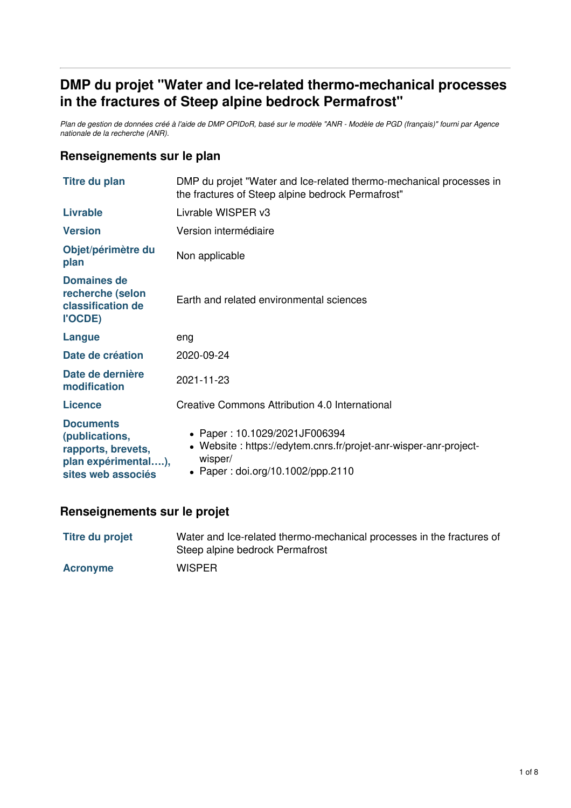# **DMP du projet "Water and Ice-related thermo-mechanical processes in the fractures of Steep alpine bedrock Permafrost"**

Plan de gestion de données créé à l'aide de DMP OPIDoR, basé sur le modèle "ANR - Modèle de PGD (français)" fourni par Agence *nationale de la recherche (ANR).*

## **Renseignements sur le plan**

| <b>Titre du plan</b>                                                                                  | DMP du projet "Water and Ice-related thermo-mechanical processes in<br>the fractures of Steep alpine bedrock Permafrost"                          |  |
|-------------------------------------------------------------------------------------------------------|---------------------------------------------------------------------------------------------------------------------------------------------------|--|
| <b>Livrable</b>                                                                                       | Livrable WISPER v3                                                                                                                                |  |
| <b>Version</b>                                                                                        | Version intermédiaire                                                                                                                             |  |
| Objet/périmètre du<br>plan                                                                            | Non applicable                                                                                                                                    |  |
| <b>Domaines de</b><br>recherche (selon<br>classification de<br>l'OCDE)                                | Earth and related environmental sciences                                                                                                          |  |
| Langue                                                                                                | eng                                                                                                                                               |  |
| Date de création                                                                                      | 2020-09-24                                                                                                                                        |  |
| Date de dernière<br>modification                                                                      | 2021-11-23                                                                                                                                        |  |
| Licence                                                                                               | Creative Commons Attribution 4.0 International                                                                                                    |  |
| <b>Documents</b><br>(publications,<br>rapports, brevets,<br>plan expérimental),<br>sites web associés | • Paper: 10.1029/2021JF006394<br>• Website: https://edytem.cnrs.fr/projet-anr-wisper-anr-project-<br>wisper/<br>• Paper: doi.org/10.1002/ppp.2110 |  |

## **Renseignements sur le projet**

| <b>Titre du projet</b> | Water and Ice-related thermo-mechanical processes in the fractures of<br>Steep alpine bedrock Permafrost |
|------------------------|----------------------------------------------------------------------------------------------------------|
| <b>Acronyme</b>        | <b>WISPER</b>                                                                                            |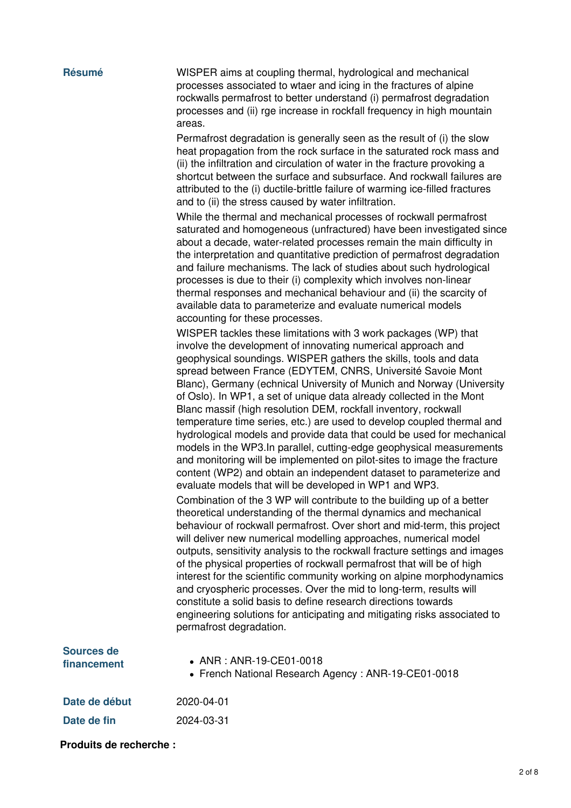**Résumé** WISPER aims at coupling thermal, hydrological and mechanical processes associated to wtaer and icing in the fractures of alpine rockwalls permafrost to better understand (i) permafrost degradation processes and (ii) rge increase in rockfall frequency in high mountain areas.

> Permafrost degradation is generally seen as the result of (i) the slow heat propagation from the rock surface in the saturated rock mass and (ii) the infiltration and circulation of water in the fracture provoking a shortcut between the surface and subsurface. And rockwall failures are attributed to the (i) ductile-brittle failure of warming ice-filled fractures and to (ii) the stress caused by water infiltration.

While the thermal and mechanical processes of rockwall permafrost saturated and homogeneous (unfractured) have been investigated since about a decade, water-related processes remain the main difficulty in the interpretation and quantitative prediction of permafrost degradation and failure mechanisms. The lack of studies about such hydrological processes is due to their (i) complexity which involves non-linear thermal responses and mechanical behaviour and (ii) the scarcity of available data to parameterize and evaluate numerical models accounting for these processes.

WISPER tackles these limitations with 3 work packages (WP) that involve the development of innovating numerical approach and geophysical soundings. WISPER gathers the skills, tools and data spread between France (EDYTEM, CNRS, Université Savoie Mont Blanc), Germany (echnical University of Munich and Norway (University of Oslo). In WP1, a set of unique data already collected in the Mont Blanc massif (high resolution DEM, rockfall inventory, rockwall temperature time series, etc.) are used to develop coupled thermal and hydrological models and provide data that could be used for mechanical models in the WP3.In parallel, cutting-edge geophysical measurements and monitoring will be implemented on pilot-sites to image the fracture content (WP2) and obtain an independent dataset to parameterize and evaluate models that will be developed in WP1 and WP3. Combination of the 3 WP will contribute to the building up of a better theoretical understanding of the thermal dynamics and mechanical behaviour of rockwall permafrost. Over short and mid-term, this project will deliver new numerical modelling approaches, numerical model outputs, sensitivity analysis to the rockwall fracture settings and images of the physical properties of rockwall permafrost that will be of high interest for the scientific community working on alpine morphodynamics and cryospheric processes. Over the mid to long-term, results will constitute a solid basis to define research directions towards engineering solutions for anticipating and mitigating risks associated to permafrost degradation.

| Sources de<br>financement | • ANR : ANR-19-CE01-0018<br>• French National Research Agency: ANR-19-CE01-0018 |
|---------------------------|---------------------------------------------------------------------------------|
| Date de début             | 2020-04-01                                                                      |
| Date de fin               | 2024-03-31                                                                      |

**Produits de recherche :**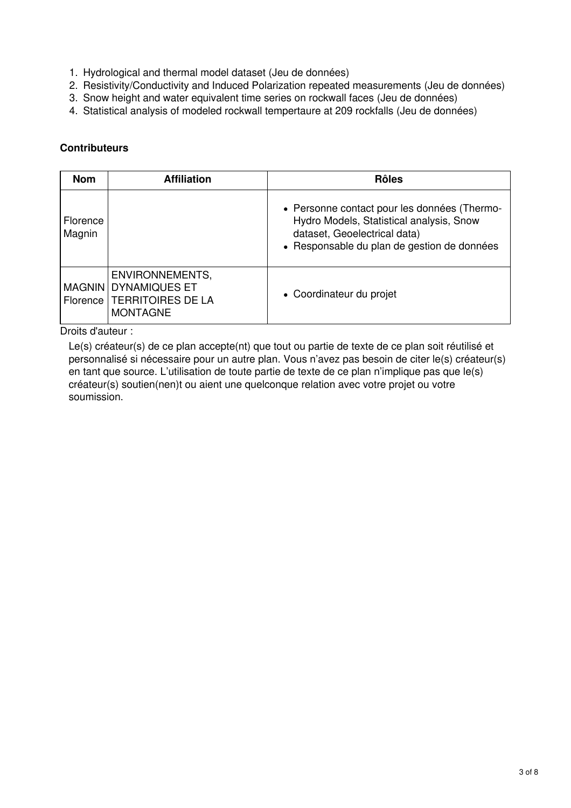- 1. Hydrological and thermal model dataset (Jeu de données)
- 2. Resistivity/Conductivity and Induced Polarization repeated measurements (Jeu de données)
- 3. Snow height and water equivalent time series on rockwall faces (Jeu de données)
- 4. Statistical analysis of modeled rockwall tempertaure at 209 rockfalls (Jeu de données)

## **Contributeurs**

| <b>Nom</b>         | <b>Affiliation</b>                                                                           | <b>Rôles</b>                                                                                                                                                            |
|--------------------|----------------------------------------------------------------------------------------------|-------------------------------------------------------------------------------------------------------------------------------------------------------------------------|
| Florence<br>Magnin |                                                                                              | • Personne contact pour les données (Thermo-<br>Hydro Models, Statistical analysis, Snow<br>dataset, Geoelectrical data)<br>• Responsable du plan de gestion de données |
|                    | ENVIRONNEMENTS,<br>MAGNIN   DYNAMIQUES ET<br>Florence   TERRITOIRES DE LA<br><b>MONTAGNE</b> | • Coordinateur du projet                                                                                                                                                |

Droits d'auteur :

Le(s) créateur(s) de ce plan accepte(nt) que tout ou partie de texte de ce plan soit réutilisé et personnalisé si nécessaire pour un autre plan. Vous n'avez pas besoin de citer le(s) créateur(s) en tant que source. L'utilisation de toute partie de texte de ce plan n'implique pas que le(s) créateur(s) soutien(nen)t ou aient une quelconque relation avec votre projet ou votre soumission.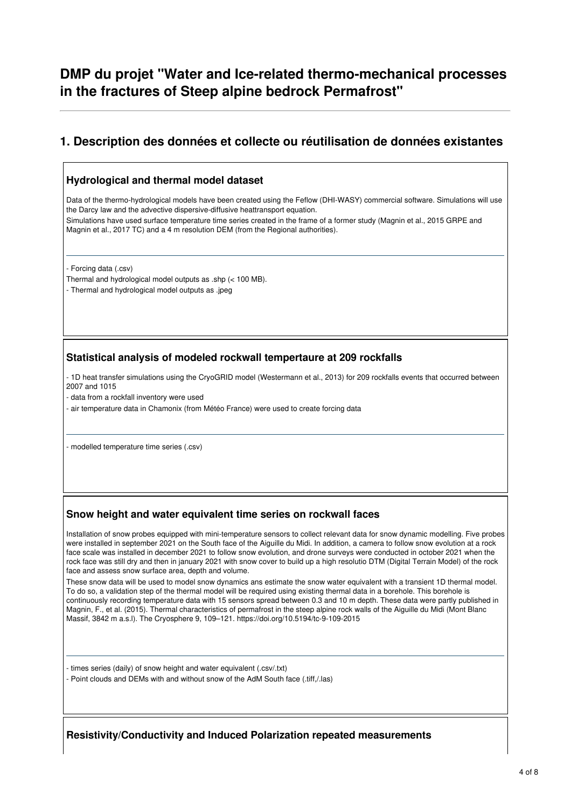## **DMP du projet "Water and Ice-related thermo-mechanical processes in the fractures of Steep alpine bedrock Permafrost"**

## **1. Description des données et collecte ou réutilisation de données existantes**

### **Hydrological and thermal model dataset**

Data of the thermo-hydrological models have been created using the Feflow (DHI-WASY) commercial software. Simulations will use the Darcy law and the advective dispersive-diffusive heattransport equation.

Simulations have used surface temperature time series created in the frame of a former study (Magnin et al., 2015 GRPE and Magnin et al., 2017 TC) and a 4 m resolution DEM (from the Regional authorities).

- Forcing data (.csv)

- Thermal and hydrological model outputs as .shp (< 100 MB).
- Thermal and hydrological model outputs as .jpeg

### **Statistical analysis of modeled rockwall tempertaure at 209 rockfalls**

- 1D heat transfer simulations using the CryoGRID model (Westermann et al., 2013) for 209 rockfalls events that occurred between 2007 and 1015

- data from a rockfall inventory were used

- air temperature data in Chamonix (from Météo France) were used to create forcing data

- modelled temperature time series (.csv)

### **Snow height and water equivalent time series on rockwall faces**

Installation of snow probes equipped with mini-temperature sensors to collect relevant data for snow dynamic modelling. Five probes were installed in september 2021 on the South face of the Aiguille du Midi. In addition, a camera to follow snow evolution at a rock face scale was installed in december 2021 to follow snow evolution, and drone surveys were conducted in october 2021 when the rock face was still dry and then in january 2021 with snow cover to build up a high resolutio DTM (Digital Terrain Model) of the rock face and assess snow surface area, depth and volume.

These snow data will be used to model snow dynamics ans estimate the snow water equivalent with a transient 1D thermal model. To do so, a validation step of the thermal model will be required using existing thermal data in a borehole. This borehole is continuously recording temperature data with 15 sensors spread between 0.3 and 10 m depth. These data were partly published in Magnin, F., et al. (2015). Thermal characteristics of permafrost in the steep alpine rock walls of the Aiguille du Midi (Mont Blanc Massif, 3842 m a.s.l). The Cryosphere 9, 109–121. https://doi.org/10.5194/tc-9-109-2015

- times series (daily) of snow height and water equivalent (.csv/.txt)

- Point clouds and DEMs with and without snow of the AdM South face (.tiff,/.las)

**Resistivity/Conductivity and Induced Polarization repeated measurements**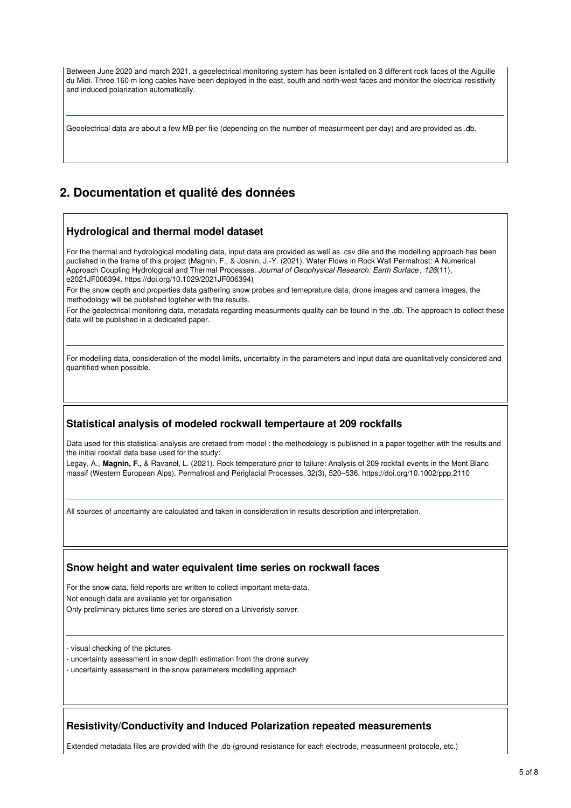Between June 2020 and march 2021, a geoelectrical monitoring system has been isntalled on 3 different rock faces of the Aiguille du Midi. Three 160 m long cables have been deployed in the east, south and north-west faces and monitor the electrical resistivity and induced polarization automatically.

Geoelectrical data are about a few MB per file (depending on the number of measurmeent per day) and are provided as .db.

## **2. Documentation et qualité des données**

#### **Hydrological and thermal model dataset**

For the thermal and hydrological modelling data, input data are provided as well as .csv dile and the modelling approach has been puclished in the frame of this project (Magnin, F., & Josnin, J.-Y. (2021). Water Flows in Rock Wall Permafrost: A Numerical Approach Coupling Hydrological and Thermal Processes. *Journal of Geophysical Research: Earth Surface* , *126*(11), e2021JF006394. https://doi.org/10.1029/2021JF006394)

For the snow depth and properties data gathering snow probes and temeprature data, drone images and camera images, the methodology will be published togteher with the results.

For the geolectrical monitoring data, metadata regarding measurments quality can be found in the .db. The approach to collect these data will be published in a dedicated paper.

For modelling data, consideration of the model limits, uncertaibty in the parameters and input data are quanlitatively considered and quantified when possible.

### **Statistical analysis of modeled rockwall tempertaure at 209 rockfalls**

Data used for this statistical analysis are cretaed from model : the methodology is published in a paper together with the results and the initial rockfall data base used for the study:

Legay, A., **Magnin, F.,** & Ravanel, L. (2021). Rock temperature prior to failure: Analysis of 209 rockfall events in the Mont Blanc massif (Western European Alps). Permafrost and Periglacial Processes, 32(3), 520–536. https://doi.org/10.1002/ppp.2110

All sources of uncertainty are calculated and taken in consideration in results description and interpretation.

#### **Snow height and water equivalent time series on rockwall faces**

For the snow data, field reports are written to collect important meta-data. Not enough data are available yet for organisation Only preliminary pictures time series are stored on a Univeristy server.

- visual checking of the pictures

- uncertainty assessment in snow depth estimation from the drone survey

- uncertainty assessment in the snow parameters modelling approach

#### **Resistivity/Conductivity and Induced Polarization repeated measurements**

Extended metadata files are provided with the .db (ground resistance for each electrode, measurmeent protocole, etc.)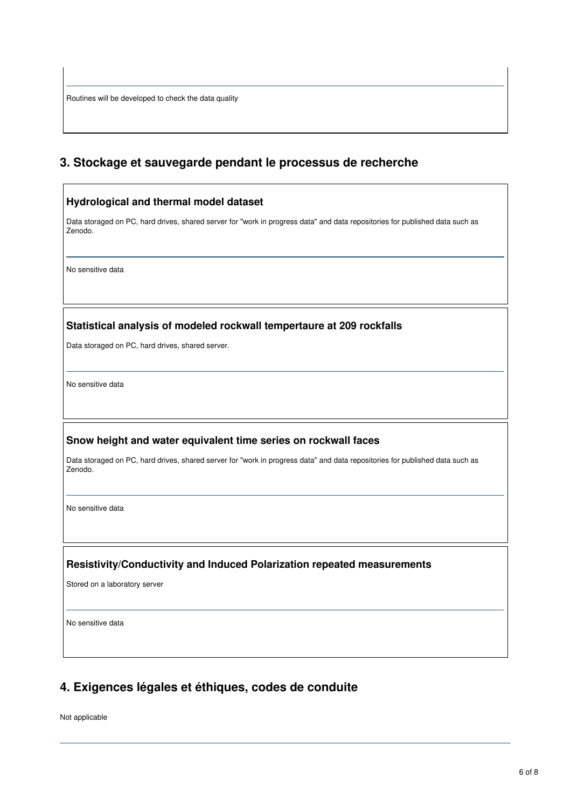Routines will be developed to check the data quality

 $\mathsf{r}$ 

## **3. Stockage et sauvegarde pendant le processus de recherche**

| Hydrological and thermal model dataset                                                                                                  |  |
|-----------------------------------------------------------------------------------------------------------------------------------------|--|
| Data storaged on PC, hard drives, shared server for "work in progress data" and data repositories for published data such as<br>Zenodo. |  |
| No sensitive data                                                                                                                       |  |
| Statistical analysis of modeled rockwall tempertaure at 209 rockfalls                                                                   |  |
| Data storaged on PC, hard drives, shared server.                                                                                        |  |
| No sensitive data                                                                                                                       |  |
| Snow height and water equivalent time series on rockwall faces                                                                          |  |
| Data storaged on PC, hard drives, shared server for "work in progress data" and data repositories for published data such as<br>Zenodo. |  |
| No sensitive data                                                                                                                       |  |
| Resistivity/Conductivity and Induced Polarization repeated measurements                                                                 |  |
| Stored on a laboratory server                                                                                                           |  |
| No sensitive data                                                                                                                       |  |
|                                                                                                                                         |  |

# **4. Exigences légales et éthiques, codes de conduite**

Not applicable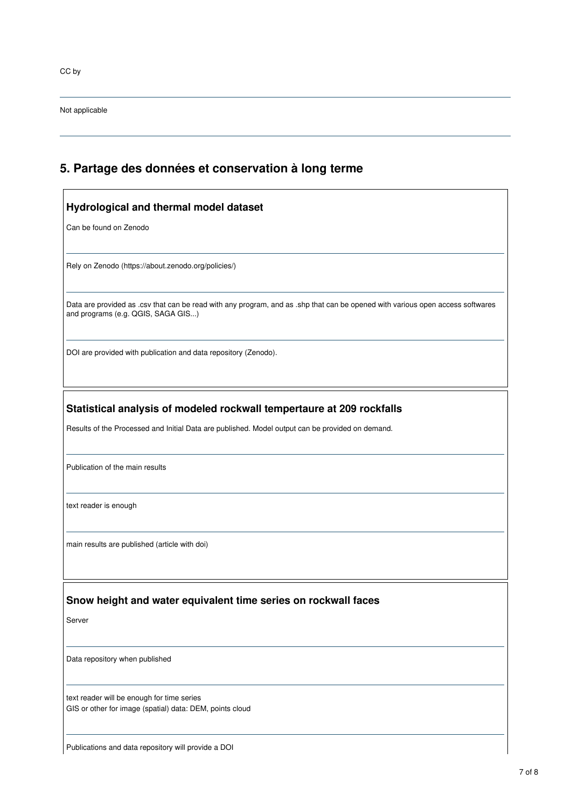CC by

Not applicable

# **5. Partage des données et conservation à long terme**

| Hydrological and thermal model dataset                                                                                                                                    |  |  |
|---------------------------------------------------------------------------------------------------------------------------------------------------------------------------|--|--|
| Can be found on Zenodo                                                                                                                                                    |  |  |
| Rely on Zenodo (https://about.zenodo.org/policies/)                                                                                                                       |  |  |
| Data are provided as .csv that can be read with any program, and as .shp that can be opened with various open access softwares<br>and programs (e.g. QGIS, SAGA GIS)      |  |  |
| DOI are provided with publication and data repository (Zenodo).                                                                                                           |  |  |
| Statistical analysis of modeled rockwall tempertaure at 209 rockfalls<br>Results of the Processed and Initial Data are published. Model output can be provided on demand. |  |  |
| Publication of the main results                                                                                                                                           |  |  |
| text reader is enough                                                                                                                                                     |  |  |
| main results are published (article with doi)                                                                                                                             |  |  |
| Snow height and water equivalent time series on rockwall faces                                                                                                            |  |  |
| Server                                                                                                                                                                    |  |  |
| Data repository when published                                                                                                                                            |  |  |
| text reader will be enough for time series<br>GIS or other for image (spatial) data: DEM, points cloud                                                                    |  |  |

Publications and data repository will provide a DOI